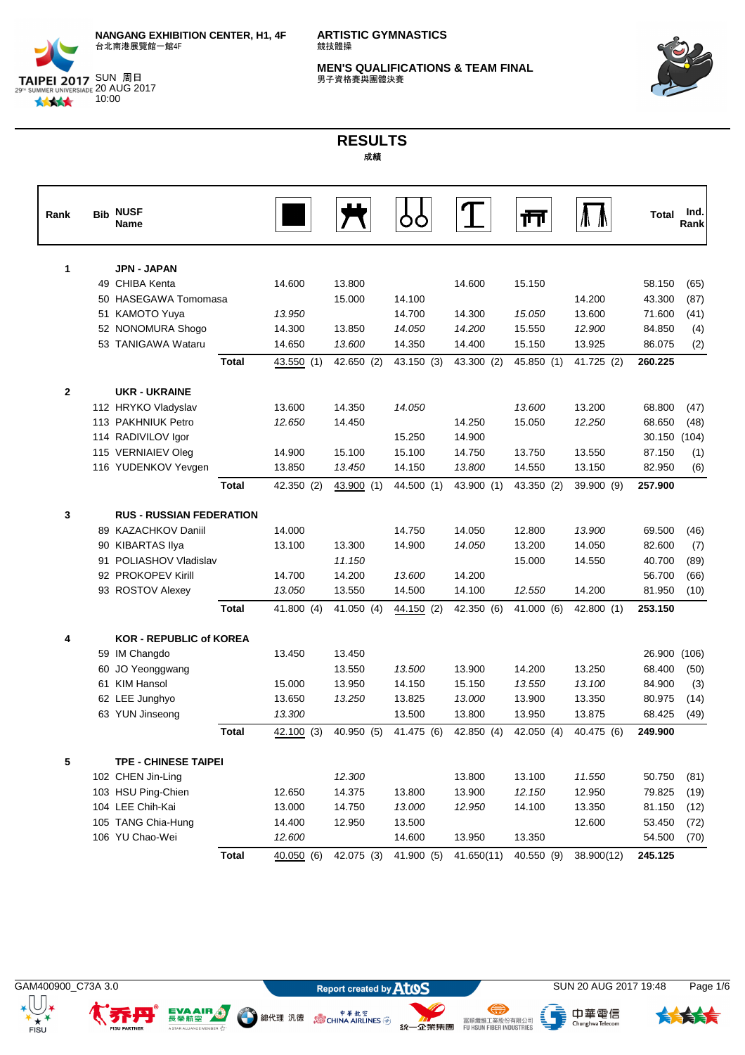

SUN 周周 20 AUG 2017 林林大 10:00

**ARTISTIC GYMNASTICS** 競技體操

**MEN'S QUALIFICATIONS & TEAM FINAL**<br>男子資格賽與團體決賽



## **RESULTS** 成績

| Rank           | <b>Bib NUSF</b><br><b>Name</b>  |              |            |            |            |            | Ш          |            | <b>Total</b> | Ind.<br>Rankl |
|----------------|---------------------------------|--------------|------------|------------|------------|------------|------------|------------|--------------|---------------|
| 1              | JPN - JAPAN                     |              |            |            |            |            |            |            |              |               |
|                | 49 CHIBA Kenta                  |              | 14.600     | 13.800     |            | 14.600     | 15.150     |            | 58.150       | (65)          |
|                | 50 HASEGAWA Tomomasa            |              |            | 15.000     | 14.100     |            |            | 14.200     | 43.300       | (87)          |
|                | 51 KAMOTO Yuya                  |              | 13.950     |            | 14.700     | 14.300     | 15.050     | 13.600     | 71.600       | (41)          |
|                | 52 NONOMURA Shogo               |              | 14.300     | 13.850     | 14.050     | 14.200     | 15.550     | 12.900     | 84.850       | (4)           |
|                | 53 TANIGAWA Wataru              |              | 14.650     | 13.600     | 14.350     | 14.400     | 15.150     | 13.925     | 86.075       | (2)           |
|                |                                 | <b>Total</b> | 43.550(1)  | 42.650 (2) | 43.150 (3) | 43.300 (2) | 45.850 (1) | 41.725 (2) | 260.225      |               |
| $\overline{2}$ | <b>UKR - UKRAINE</b>            |              |            |            |            |            |            |            |              |               |
|                | 112 HRYKO Vladyslav             |              | 13.600     | 14.350     | 14.050     |            | 13.600     | 13.200     | 68.800       | (47)          |
|                | 113 PAKHNIUK Petro              |              | 12.650     | 14.450     |            | 14.250     | 15.050     | 12.250     | 68.650       | (48)          |
|                | 114 RADIVILOV Igor              |              |            |            | 15.250     | 14.900     |            |            | 30.150       | (104)         |
|                | 115 VERNIAIEV Oleg              |              | 14.900     | 15.100     | 15.100     | 14.750     | 13.750     | 13.550     | 87.150       | (1)           |
|                | 116 YUDENKOV Yevgen             |              | 13.850     | 13.450     | 14.150     | 13.800     | 14.550     | 13.150     | 82.950       | (6)           |
|                |                                 | <b>Total</b> | 42.350 (2) | 43.900(1)  | 44.500 (1) | 43.900 (1) | 43.350 (2) | 39.900 (9) | 257.900      |               |
| 3              | <b>RUS - RUSSIAN FEDERATION</b> |              |            |            |            |            |            |            |              |               |
|                | 89 KAZACHKOV Daniil             |              | 14.000     |            | 14.750     | 14.050     | 12.800     | 13.900     | 69.500       | (46)          |
|                | 90 KIBARTAS Ilya                |              | 13.100     | 13.300     | 14.900     | 14.050     | 13.200     | 14.050     | 82.600       | (7)           |
|                | 91 POLIASHOV Vladislav          |              |            | 11.150     |            |            | 15.000     | 14.550     | 40.700       | (89)          |
|                | 92 PROKOPEV Kirill              |              | 14.700     | 14.200     | 13.600     | 14.200     |            |            | 56.700       | (66)          |
|                | 93 ROSTOV Alexey                |              | 13.050     | 13.550     | 14.500     | 14.100     | 12.550     | 14.200     | 81.950       | (10)          |
|                |                                 | <b>Total</b> | 41.800 (4) | 41.050 (4) | 44.150 (2) | 42.350 (6) | 41.000 (6) | 42.800 (1) | 253.150      |               |
| 4              | <b>KOR - REPUBLIC of KOREA</b>  |              |            |            |            |            |            |            |              |               |
|                | 59 IM Changdo                   |              | 13.450     | 13.450     |            |            |            |            | 26.900       | (106)         |
|                | 60 JO Yeonggwang                |              |            | 13.550     | 13.500     | 13.900     | 14.200     | 13.250     | 68.400       | (50)          |
|                | 61 KIM Hansol                   |              | 15.000     | 13.950     | 14.150     | 15.150     | 13.550     | 13.100     | 84.900       | (3)           |
|                | 62 LEE Junghyo                  |              | 13.650     | 13.250     | 13.825     | 13.000     | 13.900     | 13.350     | 80.975       | (14)          |
|                | 63 YUN Jinseong                 |              | 13.300     |            | 13.500     | 13.800     | 13.950     | 13.875     | 68.425       | (49)          |
|                |                                 | <b>Total</b> | 42.100(3)  | 40.950 (5) | 41.475 (6) | 42.850 (4) | 42.050 (4) | 40.475 (6) | 249.900      |               |
| 5              | <b>TPE - CHINESE TAIPEI</b>     |              |            |            |            |            |            |            |              |               |
|                | 102 CHEN Jin-Ling               |              |            | 12.300     |            | 13.800     | 13.100     | 11.550     | 50.750       | (81)          |
|                | 103 HSU Ping-Chien              |              | 12.650     | 14.375     | 13.800     | 13.900     | 12.150     | 12.950     | 79.825       | (19)          |
|                | 104 LEE Chih-Kai                |              | 13.000     | 14.750     | 13.000     | 12.950     | 14.100     | 13.350     | 81.150       | (12)          |
|                | 105 TANG Chia-Hung              |              | 14.400     | 12.950     | 13.500     |            |            | 12.600     | 53.450       | (72)          |
|                | 106 YU Chao-Wei                 |              | 12.600     |            | 14.600     | 13.950     | 13.350     |            | 54.500       | (70)          |
|                |                                 | <b>Total</b> | 40.050(6)  | 42.075 (3) | 41.900 (5) | 41.650(11) | 40.550 (9) | 38.900(12) | 245.125      |               |



 $+ +$ 

EVAAIR ...

R V<sup>4</sup>

A STAR ALLIANCE

● 總代理 汎德 。 。 ● <sup>申 革 航 空</sup>

、<br>- ChunghwaTelecom

⊜

统一企業集團 FURSION REER INDUSTRIES

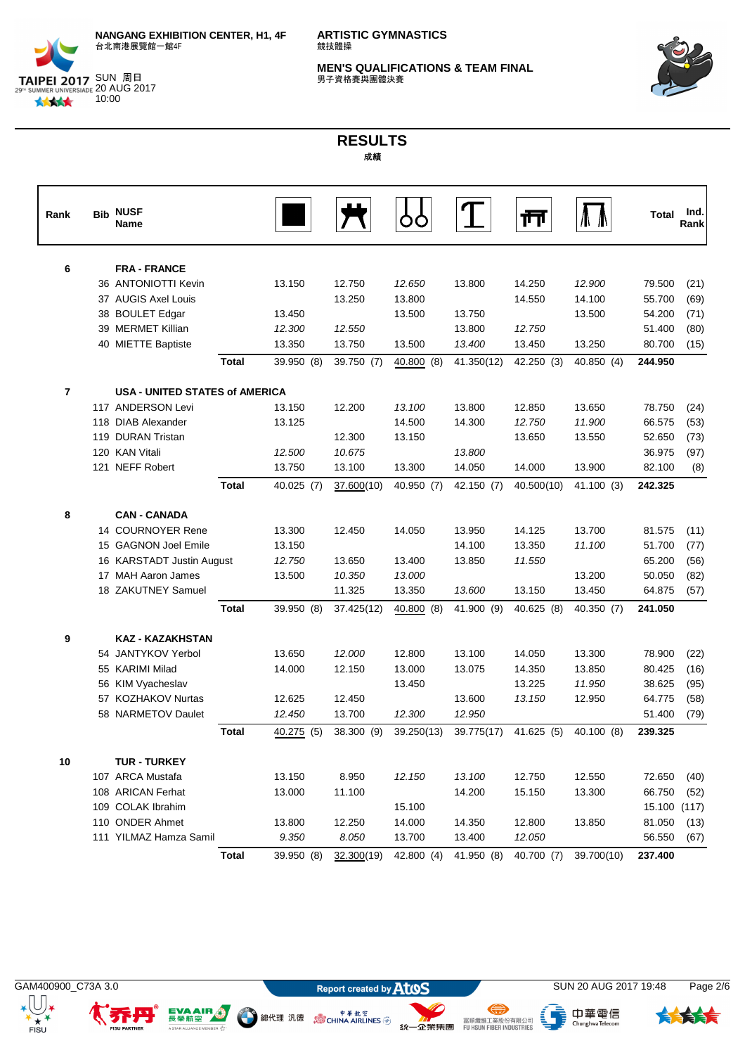

SUN 周周 20 AUG 2017 10:00

林林大

**ARTISTIC GYMNASTICS** 競技體操

**MEN'S QUALIFICATIONS & TEAM FINAL**<br>男子資格賽與團體決賽



## **RESULTS** 成績

| Rank           | <b>Bib</b> | <b>NUSF</b><br><b>Name</b>            |              |            |                        |            |            | ш          |            | Total   | Ind.<br>Rankl |
|----------------|------------|---------------------------------------|--------------|------------|------------------------|------------|------------|------------|------------|---------|---------------|
| 6              |            | <b>FRA - FRANCE</b>                   |              |            |                        |            |            |            |            |         |               |
|                |            | 36 ANTONIOTTI Kevin                   |              | 13.150     | 12.750                 | 12.650     | 13.800     | 14.250     | 12.900     | 79.500  | (21)          |
|                |            | 37 AUGIS Axel Louis                   |              |            | 13.250                 | 13.800     |            | 14.550     | 14.100     | 55.700  | (69)          |
|                |            | 38 BOULET Edgar                       |              | 13.450     |                        | 13.500     | 13.750     |            | 13.500     | 54.200  | (71)          |
|                |            | 39 MERMET Killian                     |              | 12.300     | 12.550                 |            | 13.800     | 12.750     |            | 51.400  | (80)          |
|                |            | 40 MIETTE Baptiste                    |              | 13.350     | 13.750                 | 13.500     | 13.400     | 13.450     | 13.250     | 80.700  | (15)          |
|                |            |                                       | <b>Total</b> | 39.950 (8) | 39.750 (7)             | 40.800 (8) | 41.350(12) | 42.250 (3) | 40.850(4)  | 244.950 |               |
| $\overline{7}$ |            | <b>USA - UNITED STATES of AMERICA</b> |              |            |                        |            |            |            |            |         |               |
|                |            | 117 ANDERSON Levi                     |              | 13.150     | 12.200                 | 13.100     | 13.800     | 12.850     | 13.650     | 78.750  | (24)          |
|                |            | 118 DIAB Alexander                    |              | 13.125     |                        | 14.500     | 14.300     | 12.750     | 11.900     | 66.575  | (53)          |
|                |            | 119 DURAN Tristan                     |              |            | 12.300                 | 13.150     |            | 13.650     | 13.550     | 52.650  | (73)          |
|                |            | 120 KAN Vitali                        |              | 12.500     | 10.675                 |            | 13.800     |            |            | 36.975  | (97)          |
|                |            | 121 NEFF Robert                       |              | 13.750     | 13.100                 | 13.300     | 14.050     | 14.000     | 13.900     | 82.100  | (8)           |
|                |            |                                       | <b>Total</b> | 40.025 (7) | 37.600(10)             | 40.950 (7) | 42.150 (7) | 40.500(10) | 41.100 (3) | 242.325 |               |
| 8              |            | <b>CAN - CANADA</b>                   |              |            |                        |            |            |            |            |         |               |
|                |            | 14 COURNOYER Rene                     |              | 13.300     | 12.450                 | 14.050     | 13.950     | 14.125     | 13.700     | 81.575  | (11)          |
|                |            | 15 GAGNON Joel Emile                  |              | 13.150     |                        |            | 14.100     | 13.350     | 11.100     | 51.700  | (77)          |
|                |            | 16 KARSTADT Justin August             |              | 12.750     | 13.650                 | 13.400     | 13.850     | 11.550     |            | 65.200  | (56)          |
|                |            | 17 MAH Aaron James                    |              | 13.500     | 10.350                 | 13.000     |            |            | 13.200     | 50.050  | (82)          |
|                |            | 18 ZAKUTNEY Samuel                    |              |            | 11.325                 | 13.350     | 13.600     | 13.150     | 13.450     | 64.875  | (57)          |
|                |            |                                       | Total        | 39.950 (8) | 37.425(12)             | 40.800 (8) | 41.900 (9) | 40.625 (8) | 40.350 (7) | 241.050 |               |
| 9              |            | <b>KAZ - KAZAKHSTAN</b>               |              |            |                        |            |            |            |            |         |               |
|                |            | 54 JANTYKOV Yerbol                    |              | 13.650     | 12.000                 | 12.800     | 13.100     | 14.050     | 13.300     | 78.900  | (22)          |
|                |            | 55 KARIMI Milad                       |              | 14.000     | 12.150                 | 13.000     | 13.075     | 14.350     | 13.850     | 80.425  | (16)          |
|                |            | 56 KIM Vyacheslav                     |              |            |                        | 13.450     |            | 13.225     | 11.950     | 38.625  | (95)          |
|                |            | 57 KOZHAKOV Nurtas                    |              | 12.625     | 12.450                 |            | 13.600     | 13.150     | 12.950     | 64.775  | (58)          |
|                |            | 58 NARMETOV Daulet                    |              | 12.450     | 13.700                 | 12.300     | 12.950     |            |            | 51.400  | (79)          |
|                |            |                                       | Total        | 40.275 (5) | 38.300 (9)             | 39.250(13) | 39.775(17) | 41.625 (5) | 40.100 (8) | 239.325 |               |
| 10             |            | <b>TUR - TURKEY</b>                   |              |            |                        |            |            |            |            |         |               |
|                |            | 107 ARCA Mustafa                      |              | 13.150     | 8.950                  | 12.150     | 13.100     | 12.750     | 12.550     | 72.650  | (40)          |
|                |            | 108 ARICAN Ferhat                     |              | 13.000     | 11.100                 |            | 14.200     | 15.150     | 13.300     | 66.750  | (52)          |
|                |            | 109 COLAK Ibrahim                     |              |            |                        | 15.100     |            |            |            | 15.100  | (117)         |
|                |            | 110 ONDER Ahmet                       |              | 13.800     | 12.250                 | 14.000     | 14.350     | 12.800     | 13.850     | 81.050  | (13)          |
|                |            | 111 YILMAZ Hamza Samil                |              | 9.350      | 8.050                  | 13.700     | 13.400     | 12.050     |            | 56.550  | (67)          |
|                |            |                                       | <b>Total</b> | 39.950 (8) | 32.300 <sub>(19)</sub> | 42.800 (4) | 41.950 (8) | 40.700 (7) | 39.700(10) | 237.400 |               |



 $+ +$ 

EVAAIR ...

R V<sup>4</sup>

A STAR ALLIANCE

● 總代理 汎德 。 。 ● <sup>申 革 航 空</sup>

GAM400900\_C73A 3.0 **SUN 20 AUG 2017 19:48** Page 2/6

、<br>- ChunghwaTelecom

⊜

统一企業集團 FURSION FIBER INDUSTRIES

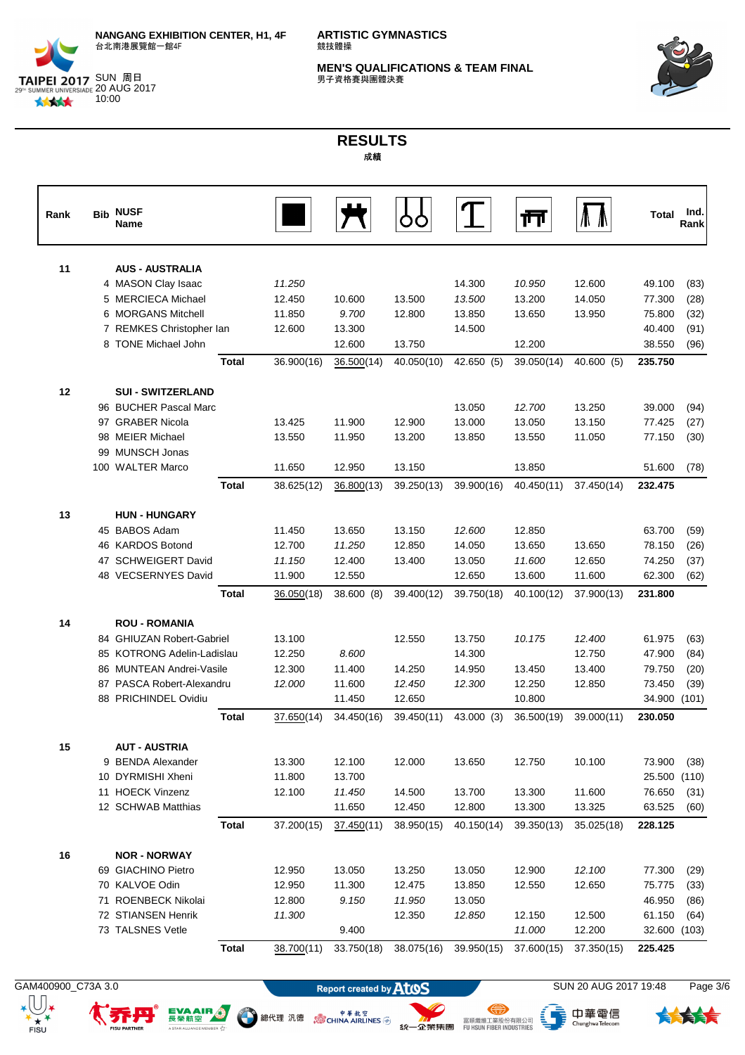

SUN 周周 20 AUG 2017 10:00

林林大

**ARTISTIC GYMNASTICS** 競技體操

**MEN'S QUALIFICATIONS & TEAM FINAL**<br>男子資格賽與團體決賽



## **RESULTS** 成績

| Rank | <b>Bib</b> | <b>NUSF</b><br><b>Name</b> |              |            |                      |                      |                      | ŢΠ                   |                      | <b>Total</b>      | Ind.<br>Rank |
|------|------------|----------------------------|--------------|------------|----------------------|----------------------|----------------------|----------------------|----------------------|-------------------|--------------|
| 11   |            | <b>AUS - AUSTRALIA</b>     |              |            |                      |                      |                      |                      |                      |                   |              |
|      |            | 4 MASON Clay Isaac         |              | 11.250     |                      |                      | 14.300               | 10.950               | 12.600               | 49.100            | (83)         |
|      |            | 5 MERCIECA Michael         |              | 12.450     | 10.600               | 13.500               | 13.500               | 13.200               | 14.050               | 77.300            | (28)         |
|      |            | 6 MORGANS Mitchell         |              | 11.850     | 9.700                | 12.800               | 13.850               | 13.650               | 13.950               | 75.800            | (32)         |
|      |            | 7 REMKES Christopher Ian   |              | 12.600     | 13.300               |                      | 14.500               |                      |                      | 40.400            | (91)         |
|      |            | 8 TONE Michael John        |              |            | 12.600               | 13.750               |                      | 12.200               |                      | 38.550            | (96)         |
|      |            |                            | <b>Total</b> | 36.900(16) | 36.500(14)           | 40.050(10)           | 42.650 (5)           | 39.050(14)           | 40.600 (5)           | 235.750           |              |
| 12   |            | <b>SUI - SWITZERLAND</b>   |              |            |                      |                      |                      |                      |                      |                   |              |
|      |            | 96 BUCHER Pascal Marc      |              |            |                      |                      | 13.050               | 12.700               | 13.250               | 39.000            | (94)         |
|      |            | 97 GRABER Nicola           |              | 13.425     | 11.900               | 12.900               | 13.000               | 13.050               | 13.150               | 77.425            | (27)         |
|      |            | 98 MEIER Michael           |              | 13.550     | 11.950               | 13.200               | 13.850               | 13.550               | 11.050               | 77.150            | (30)         |
|      |            | 99 MUNSCH Jonas            |              |            |                      |                      |                      |                      |                      |                   |              |
|      |            | 100 WALTER Marco           |              | 11.650     | 12.950               | 13.150               |                      | 13.850               |                      | 51.600            | (78)         |
|      |            |                            | <b>Total</b> | 38.625(12) | 36.800(13)           | 39.250(13)           | 39.900(16)           | 40.450(11)           | 37.450(14)           | 232.475           |              |
| 13   |            | <b>HUN - HUNGARY</b>       |              |            |                      |                      |                      |                      |                      |                   |              |
|      |            | 45 BABOS Adam              |              | 11.450     | 13.650               | 13.150               | 12.600               | 12.850               |                      | 63.700            | (59)         |
|      |            | 46 KARDOS Botond           |              | 12.700     | 11.250               | 12.850               | 14.050               | 13.650               | 13.650               | 78.150            | (26)         |
|      |            | 47 SCHWEIGERT David        |              | 11.150     | 12.400               | 13.400               | 13.050               | 11.600               | 12.650               | 74.250            | (37)         |
|      |            | 48 VECSERNYES David        |              | 11.900     | 12.550               |                      | 12.650               | 13.600               | 11.600               | 62.300            | (62)         |
|      |            |                            | <b>Total</b> | 36.050(18) | 38.600 (8)           | 39.400(12)           | 39.750(18)           | 40.100(12)           | 37.900(13)           | 231.800           |              |
| 14   |            | <b>ROU - ROMANIA</b>       |              |            |                      |                      |                      |                      |                      |                   |              |
|      |            | 84 GHIUZAN Robert-Gabriel  |              | 13.100     |                      | 12.550               | 13.750               | 10.175               | 12.400               | 61.975            | (63)         |
|      |            | 85 KOTRONG Adelin-Ladislau |              | 12.250     | 8.600                |                      | 14.300               |                      | 12.750               | 47.900            | (84)         |
|      |            | 86 MUNTEAN Andrei-Vasile   |              | 12.300     | 11.400               | 14.250               | 14.950               | 13.450               | 13.400               | 79.750            | (20)         |
|      |            | 87 PASCA Robert-Alexandru  |              | 12.000     | 11.600               | 12.450               | 12.300               | 12.250               | 12.850               | 73.450            | (39)         |
|      |            | 88 PRICHINDEL Ovidiu       |              |            | 11.450               | 12.650               |                      | 10.800               |                      | 34.900            | (101)        |
|      |            |                            | <b>Total</b> | 37.650(14) | 34.450(16)           | 39.450(11)           | 43.000 (3)           | 36.500(19)           | 39.000(11)           | 230.050           |              |
| 15   |            | <b>AUT - AUSTRIA</b>       |              |            |                      |                      |                      |                      |                      |                   |              |
|      |            | 9 BENDA Alexander          |              | 13.300     | 12.100               | 12.000               | 13.650               | 12.750               | 10.100               | 73.900            | (38)         |
|      |            | 10 DYRMISHI Xheni          |              | 11.800     | 13.700               |                      |                      |                      |                      | 25.500            | (110)        |
|      |            | 11 HOECK Vinzenz           |              | 12.100     | 11.450               | 14.500               | 13.700               | 13.300               | 11.600               | 76.650            | (31)         |
|      |            | 12 SCHWAB Matthias         | <b>Total</b> | 37.200(15) | 11.650<br>37.450(11) | 12.450<br>38.950(15) | 12.800<br>40.150(14) | 13.300<br>39.350(13) | 13.325<br>35.025(18) | 63.525<br>228.125 | (60)         |
|      |            |                            |              |            |                      |                      |                      |                      |                      |                   |              |
| 16   |            | <b>NOR - NORWAY</b>        |              |            |                      |                      |                      |                      |                      |                   |              |
|      |            | 69 GIACHINO Pietro         |              | 12.950     | 13.050               | 13.250               | 13.050               | 12.900               | 12.100               | 77.300            | (29)         |
|      |            | 70 KALVOE Odin             |              | 12.950     | 11.300               | 12.475               | 13.850               | 12.550               | 12.650               | 75.775            | (33)         |
|      |            | 71 ROENBECK Nikolai        |              | 12.800     | 9.150                | 11.950               | 13.050               |                      |                      | 46.950            | (86)         |
|      |            | 72 STIANSEN Henrik         |              | 11.300     |                      | 12.350               | 12.850               | 12.150               | 12.500               | 61.150            | (64)         |
|      |            | 73 TALSNES Vetle           |              |            | 9.400                |                      |                      | 11.000               | 12.200               | 32.600 (103)      |              |
|      |            |                            | <b>Total</b> | 38.700(11) | 33.750(18)           | 38.075(16)           | 39.950(15)           | 37.600(15)           | 37.350(15)           | 225.425           |              |

GAM400900\_C73A 3.0 **SUN 20 AUG 2017 19:48** Page 3/6

EVAAIR ...

R V<sup>4</sup>

A STAR ALLIANCE

● 總代理 汎德 。 。 ● <sup>申 革 航 空</sup>



⊜

统一企業集團 FURSION FIBER INDUSTRIES

、<br>- ChunghwaTelecom

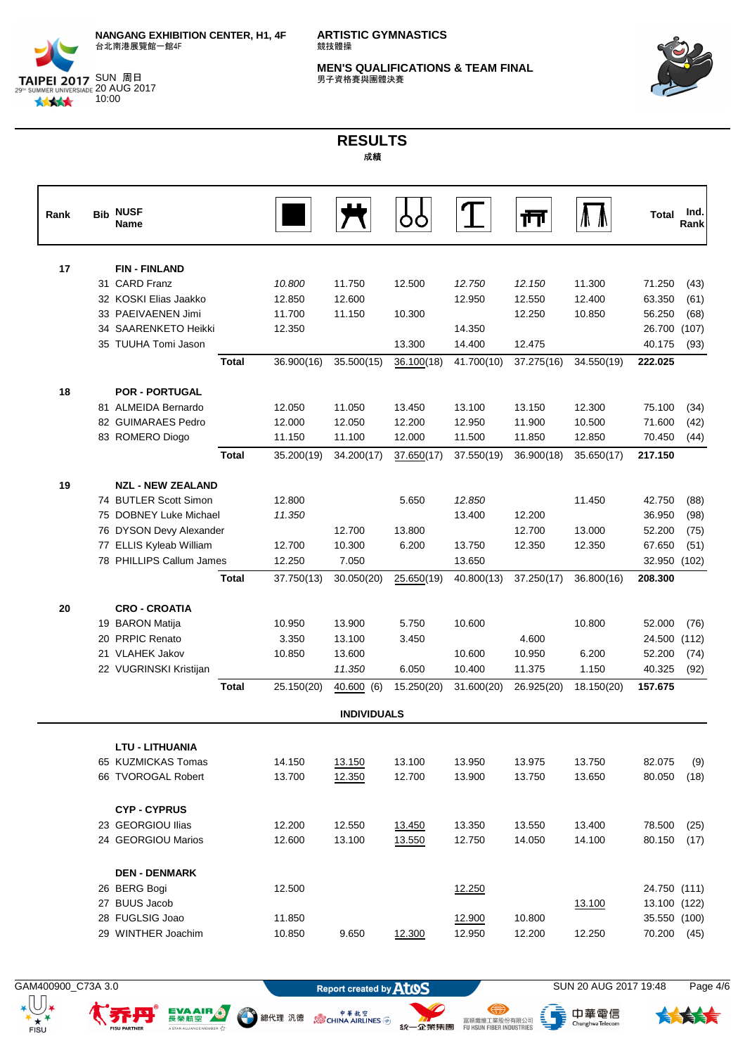

SUN 周周 20 AUG 2017 10:00

**ARTISTIC GYMNASTICS** 競技體操

**MEN'S QUALIFICATIONS & TEAM FINAL**<br>男子資格賽與團體決賽



## **RESULTS** 成績

| Rank | <b>Bib</b> | <b>NUSF</b><br>Name      |              |            |                    |            |            | Ш          |            | <b>Total</b> | Ind.<br>Rank |
|------|------------|--------------------------|--------------|------------|--------------------|------------|------------|------------|------------|--------------|--------------|
| 17   |            | <b>FIN-FINLAND</b>       |              |            |                    |            |            |            |            |              |              |
|      |            | 31 CARD Franz            |              | 10.800     | 11.750             | 12.500     | 12.750     | 12.150     | 11.300     | 71.250       | (43)         |
|      |            | 32 KOSKI Elias Jaakko    |              | 12.850     | 12.600             |            | 12.950     | 12.550     | 12.400     | 63.350       | (61)         |
|      |            | 33 PAEIVAENEN Jimi       |              | 11.700     | 11.150             | 10.300     |            | 12.250     | 10.850     | 56.250       | (68)         |
|      |            | 34 SAARENKETO Heikki     |              | 12.350     |                    |            | 14.350     |            |            | 26.700       | (107)        |
|      |            | 35 TUUHA Tomi Jason      |              |            |                    | 13.300     | 14.400     | 12.475     |            | 40.175       | (93)         |
|      |            |                          | <b>Total</b> | 36.900(16) | 35.500(15)         | 36.100(18) | 41.700(10) | 37.275(16) | 34.550(19) | 222.025      |              |
| 18   |            | <b>POR - PORTUGAL</b>    |              |            |                    |            |            |            |            |              |              |
|      |            | 81 ALMEIDA Bernardo      |              | 12.050     | 11.050             | 13.450     | 13.100     | 13.150     | 12.300     | 75.100       | (34)         |
|      |            | 82 GUIMARAES Pedro       |              | 12.000     | 12.050             | 12.200     | 12.950     | 11.900     | 10.500     | 71.600       | (42)         |
|      |            | 83 ROMERO Diogo          |              | 11.150     | 11.100             | 12.000     | 11.500     | 11.850     | 12.850     | 70.450       | (44)         |
|      |            |                          | <b>Total</b> | 35.200(19) | 34.200(17)         | 37.650(17) | 37.550(19) | 36.900(18) | 35.650(17) | 217.150      |              |
| 19   |            | <b>NZL - NEW ZEALAND</b> |              |            |                    |            |            |            |            |              |              |
|      |            | 74 BUTLER Scott Simon    |              | 12.800     |                    | 5.650      | 12.850     |            | 11.450     | 42.750       | (88)         |
|      |            | 75 DOBNEY Luke Michael   |              | 11.350     |                    |            | 13.400     | 12.200     |            | 36.950       | (98)         |
|      |            | 76 DYSON Devy Alexander  |              |            | 12.700             | 13.800     |            | 12.700     | 13.000     | 52.200       | (75)         |
|      |            | 77 ELLIS Kyleab William  |              | 12.700     | 10.300             | 6.200      | 13.750     | 12.350     | 12.350     | 67.650       | (51)         |
|      |            | 78 PHILLIPS Callum James |              | 12.250     | 7.050              |            | 13.650     |            |            | 32.950 (102) |              |
|      |            |                          | <b>Total</b> | 37.750(13) | 30.050(20)         | 25.650(19) | 40.800(13) | 37.250(17) | 36.800(16) | 208.300      |              |
| 20   |            | <b>CRO - CROATIA</b>     |              |            |                    |            |            |            |            |              |              |
|      |            | 19 BARON Matija          |              | 10.950     | 13.900             | 5.750      | 10.600     |            | 10.800     | 52.000       | (76)         |
|      |            | 20 PRPIC Renato          |              | 3.350      | 13.100             | 3.450      |            | 4.600      |            | 24.500       | (112)        |
|      |            | 21 VLAHEK Jakov          |              | 10.850     | 13.600             |            | 10.600     | 10.950     | 6.200      | 52.200       | (74)         |
|      |            | 22 VUGRINSKI Kristijan   |              |            | 11.350             | 6.050      | 10.400     | 11.375     | 1.150      | 40.325       | (92)         |
|      |            |                          | <b>Total</b> | 25.150(20) | 40.600 (6)         | 15.250(20) | 31.600(20) | 26.925(20) | 18.150(20) | 157.675      |              |
|      |            |                          |              |            | <b>INDIVIDUALS</b> |            |            |            |            |              |              |
|      |            | <b>LTU - LITHUANIA</b>   |              |            |                    |            |            |            |            |              |              |
|      |            | 65 KUZMICKAS Tomas       |              | 14.150     | 13.150             | 13.100     | 13.950     | 13.975     | 13.750     | 82.075       | (9)          |
|      |            | 66 TVOROGAL Robert       |              | 13.700     | 12.350             | 12.700     | 13.900     | 13.750     | 13.650     | 80.050       | (18)         |
|      |            | <b>CYP-CYPRUS</b>        |              |            |                    |            |            |            |            |              |              |
|      |            | 23 GEORGIOU Ilias        |              | 12.200     | 12.550             | 13.450     | 13.350     | 13.550     | 13.400     | 78.500       | (25)         |
|      |            | 24 GEORGIOU Marios       |              | 12.600     | 13.100             | 13.550     | 12.750     | 14.050     | 14.100     | 80.150       | (17)         |
|      |            | <b>DEN - DENMARK</b>     |              |            |                    |            |            |            |            |              |              |
|      |            | 26 BERG Bogi             |              | 12.500     |                    |            | 12.250     |            |            | 24.750 (111) |              |
|      |            | 27 BUUS Jacob            |              |            |                    |            |            |            | 13.100     | 13.100 (122) |              |
|      |            | 28 FUGLSIG Joao          |              | 11.850     |                    |            | 12.900     | 10.800     |            | 35.550 (100) |              |
|      |            | 29 WINTHER Joachim       |              | 10.850     | 9.650              | 12.300     | 12.950     | 12.200     | 12.250     | 70.200       | (45)         |

 $\star$   $\overline{(\bigcup_{\mathbf{X}}\mathbf{X}}$ 

 $+ +$ 

EVAAIR ...

n v<sup>4</sup>r

A STAR ALLIANCE

GAM400900\_C73A 3.0 **SUN 20 AUG 2017 19:48** Page 4/6

<sup>中華航空</sup>線代理 汎德 (SCHINA AIRLINES )

**SALE SEARCH STATES IN THE SEARCH STATES IN THE SEARCH STATES IN THE SEARCH STATES IN THE SEARCH STATES IN THE SEARCH STATES IN THE SEARCH STATES IN THE SEARCH STATES IN THE SEARCH STATES IN THE SEARCH STATES IN THE SEARC** 

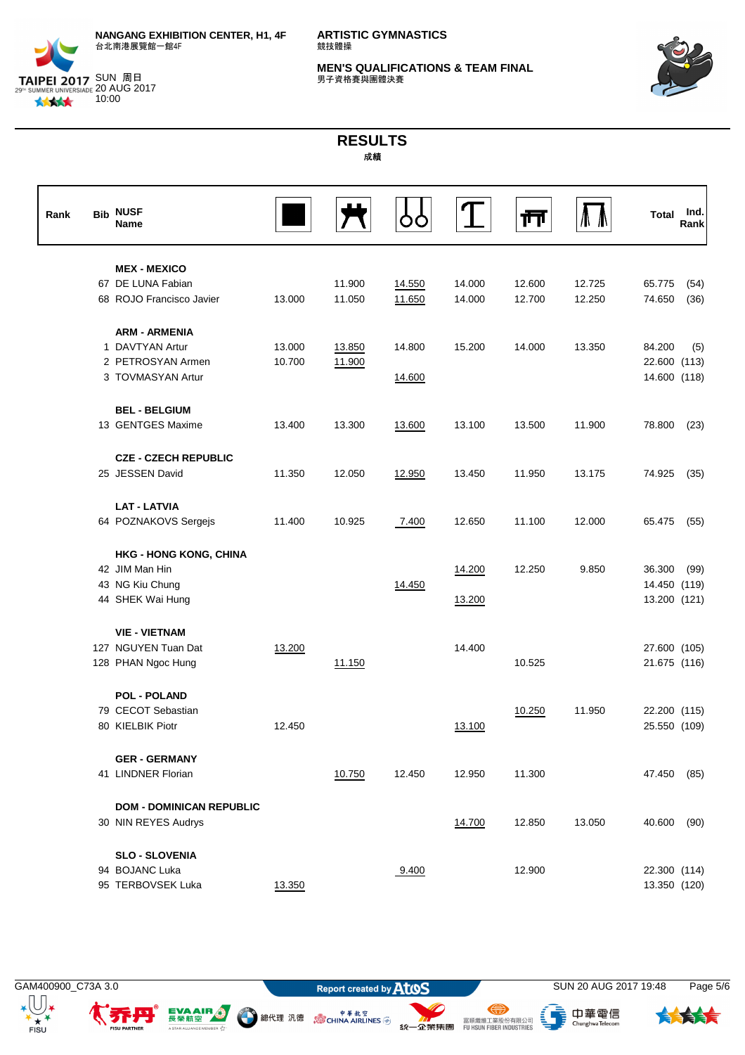

**ARTISTIC GYMNASTICS** 競技體操

**MEN'S QUALIFICATIONS & TEAM FINAL**<br>男子資格賽與團體決賽



# **RESULTS** 成績

| Rank | <b>Bib</b> | <b>NUSF</b><br>Name                           |        |                  |                  |                  | ŢΤ               |                  | <b>Total</b>     | Ind.<br>Rank |
|------|------------|-----------------------------------------------|--------|------------------|------------------|------------------|------------------|------------------|------------------|--------------|
|      |            | <b>MEX - MEXICO</b>                           |        |                  |                  |                  |                  |                  |                  |              |
|      |            | 67 DE LUNA Fabian<br>68 ROJO Francisco Javier | 13.000 | 11.900<br>11.050 | 14.550<br>11.650 | 14.000<br>14.000 | 12.600<br>12.700 | 12.725<br>12.250 | 65.775<br>74.650 | (54)<br>(36) |
|      |            | <b>ARM - ARMENIA</b>                          |        |                  |                  |                  |                  |                  |                  |              |
|      |            | 1 DAVTYAN Artur                               | 13.000 | 13.850           | 14.800           | 15.200           | 14.000           | 13.350           | 84.200           | (5)          |
|      |            | 2 PETROSYAN Armen                             | 10.700 | 11.900           |                  |                  |                  |                  | 22.600 (113)     |              |
|      |            | 3 TOVMASYAN Artur                             |        |                  | 14.600           |                  |                  |                  | 14.600 (118)     |              |
|      |            | <b>BEL - BELGIUM</b>                          |        |                  |                  |                  |                  |                  |                  |              |
|      |            | 13 GENTGES Maxime                             | 13.400 | 13.300           | 13.600           | 13.100           | 13.500           | 11.900           | 78.800           | (23)         |
|      |            | <b>CZE - CZECH REPUBLIC</b>                   |        |                  |                  |                  |                  |                  |                  |              |
|      |            | 25 JESSEN David                               | 11.350 | 12.050           | 12.950           | 13.450           | 11.950           | 13.175           | 74.925           | (35)         |
|      |            | <b>LAT - LATVIA</b>                           |        |                  |                  |                  |                  |                  |                  |              |
|      |            | 64 POZNAKOVS Sergejs                          | 11.400 | 10.925           | 7.400            | 12.650           | 11.100           | 12.000           | 65.475           | (55)         |
|      |            | <b>HKG - HONG KONG, CHINA</b>                 |        |                  |                  |                  |                  |                  |                  |              |
|      |            | 42 JIM Man Hin                                |        |                  |                  | 14.200           | 12.250           | 9.850            | 36.300           | (99)         |
|      |            | 43 NG Kiu Chung                               |        |                  | 14.450           |                  |                  |                  | 14.450 (119)     |              |
|      |            | 44 SHEK Wai Hung                              |        |                  |                  | 13.200           |                  |                  | 13.200 (121)     |              |
|      |            | <b>VIE - VIETNAM</b>                          |        |                  |                  |                  |                  |                  |                  |              |
|      |            | 127 NGUYEN Tuan Dat                           | 13.200 |                  |                  | 14.400           |                  |                  | 27.600 (105)     |              |
|      |            | 128 PHAN Ngoc Hung                            |        | 11.150           |                  |                  | 10.525           |                  | 21.675 (116)     |              |
|      |            | <b>POL - POLAND</b>                           |        |                  |                  |                  |                  |                  |                  |              |
|      |            | 79 CECOT Sebastian                            |        |                  |                  |                  | 10.250           | 11.950           | 22.200 (115)     |              |
|      |            | 80 KIELBIK Piotr                              | 12.450 |                  |                  | 13.100           |                  |                  | 25.550 (109)     |              |
|      |            | <b>GER - GERMANY</b>                          |        |                  |                  |                  |                  |                  |                  |              |
|      |            | 41 LINDNER Florian                            |        | 10.750           | 12.450           | 12.950           | 11.300           |                  | 47.450           | (85)         |
|      |            | <b>DOM - DOMINICAN REPUBLIC</b>               |        |                  |                  |                  |                  |                  |                  |              |
|      |            | 30 NIN REYES Audrys                           |        |                  |                  | 14.700           | 12.850           | 13.050           | 40.600           | (90)         |
|      |            | <b>SLO - SLOVENIA</b>                         |        |                  |                  |                  |                  |                  |                  |              |
|      |            | 94 BOJANC Luka                                |        |                  | 9.400            |                  | 12.900           |                  | 22.300 (114)     |              |
|      |            | 95 TERBOVSEK Luka                             | 13.350 |                  |                  |                  |                  |                  | 13.350 (120)     |              |

 $+ +$ 

EVAAIR ...

R V<sup>4</sup>

A STAR ALLIANCE

● 總代理 汎德 。 。 ● <sup>申 革 航 空</sup>

、<br>- ChunghwaTelecom

⊜

统一企業集團 FURSION FIBER INDUSTRIES